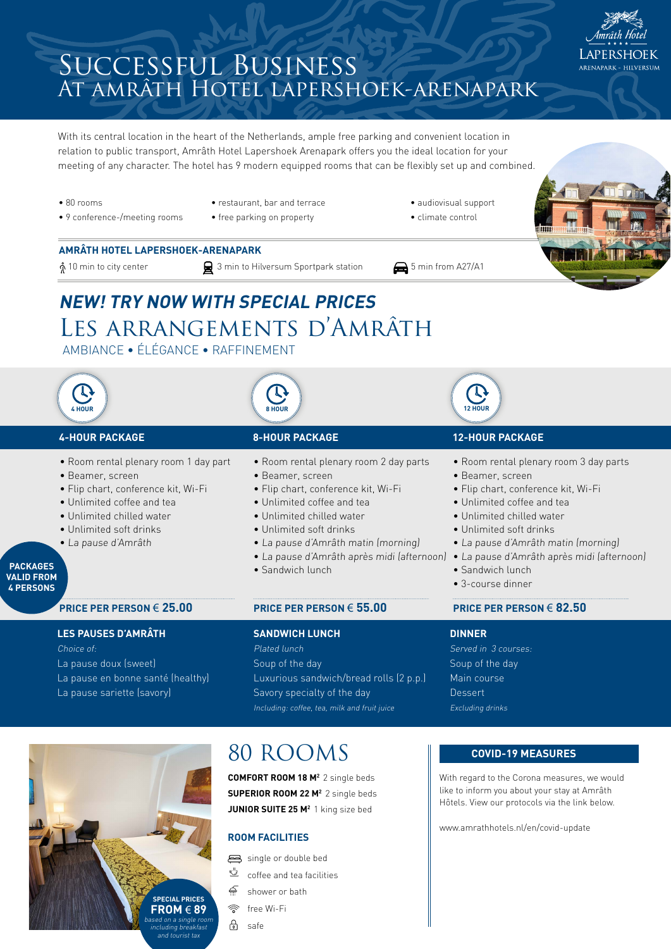

With its central location in the heart of the Netherlands, ample free parking and convenient location in relation to public transport, Amrâth Hotel Lapershoek Arenapark offers you the ideal location for your meeting of any character. The hotel has 9 modern equipped rooms that can be flexibly set up and combined.

- 80 rooms
- 9 conference-/meeting rooms
	-
- 
- restaurant, bar and terrace
- free parking on property
- audiovisual support
	- climate control

- **AMRÂTH HOTEL LAPERSHOEK-ARENAPARK**
- $\frac{1}{\Lambda}$  10 min to city center  $\Box$  3 min to Hilversum Sportpark station  $\Box$  5 min from A27/A1
	-
- 



# LES ARRANGEMENTS D'AMRÂTH **NEW! TRY NOW WITH SPECIAL PRICES**

AMBIANCE • ÉLÉGANCE • RAFFINEMENT



- La pause doux (sweet) La pause en bonne santé (healthy) La pause sariette (savory)
- Soup of the day Luxurious sandwich/bread rolls (2 p.p.) Savory specialty of the day Including: coffee, tea, milk and fruit juice



## 80 ROOMS

**COMFORT ROOM 18 M2** 2 single beds **SUPERIOR ROOM 22 M2** 2 single beds **JUNIOR SUITE 25 M2** 1 king size bed

#### **ROOM FACILITIES**

single or double bed

- $\ddot{\mathbb{Z}}$  coffee and tea facilities
- چ shower or bath
- free Wi-Fi
- ி safe

#### **COVID-19 MEASURES**

Main course **Dessert** Excluding drinks

With regard to the Corona measures, we would like to inform you about your stay at Amrâth Hôtels. View our protocols via the link below.

[www.amrathhotels.nl/en/covid-update](http://www.amrathhotels.nl/en/covid-update)